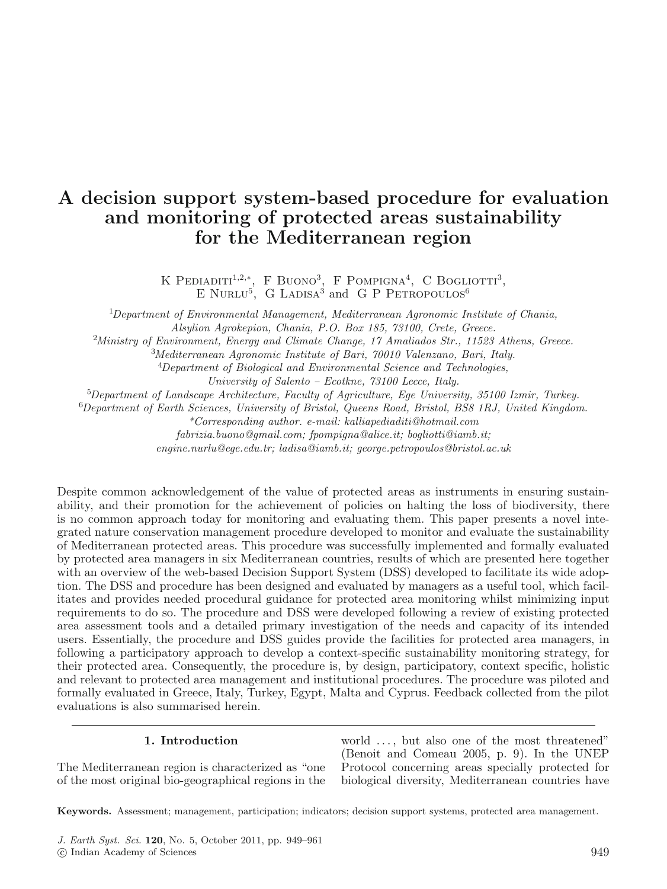# **A decision support system-based procedure for evaluation and monitoring of protected areas sustainability for the Mediterranean region**

K PEDIADITI<sup>1,2,\*</sup>, F BUONO<sup>3</sup>, F POMPIGNA<sup>4</sup>, C BOGLIOTTI<sup>3</sup>, E NURLU<sup>5</sup>, G LADISA<sup>3</sup> and G P PETROPOULOS<sup>6</sup>

<sup>1</sup>Department of Environmental Management, Mediterranean Agronomic Institute of Chania, Alsylion Agrokepion, Chania, P.O. Box 185, 73100, Crete, Greece.

 ${}^{2}$ Ministry of Environment, Energy and Climate Change, 17 Amaliados Str., 11523 Athens, Greece.

3 Mediterranean Agronomic Institute of Bari, 70010 Valenzano, Bari, Italy.

<sup>4</sup>Department of Biological and Environmental Science and Technologies,

University of Salento – Ecotkne, 73100 Lecce, Italy.

5 Department of Landscape Architecture, Faculty of Agriculture, Ege University, 35100 Izmir, Turkey.

6 Department of Earth Sciences, University of Bristol, Queens Road, Bristol, BS8 1RJ, United Kingdom.

\*Corresponding author. e-mail: kalliapediaditi@hotmail.com

fabrizia.buono@gmail.com; fpompigna@alice.it; bogliotti@iamb.it;

engine.nurlu@ege.edu.tr; ladisa@iamb.it; george.petropoulos@bristol.ac.uk

Despite common acknowledgement of the value of protected areas as instruments in ensuring sustainability, and their promotion for the achievement of policies on halting the loss of biodiversity, there is no common approach today for monitoring and evaluating them. This paper presents a novel integrated nature conservation management procedure developed to monitor and evaluate the sustainability of Mediterranean protected areas. This procedure was successfully implemented and formally evaluated by protected area managers in six Mediterranean countries, results of which are presented here together with an overview of the web-based Decision Support System (DSS) developed to facilitate its wide adoption. The DSS and procedure has been designed and evaluated by managers as a useful tool, which facilitates and provides needed procedural guidance for protected area monitoring whilst minimizing input requirements to do so. The procedure and DSS were developed following a review of existing protected area assessment tools and a detailed primary investigation of the needs and capacity of its intended users. Essentially, the procedure and DSS guides provide the facilities for protected area managers, in following a participatory approach to develop a context-specific sustainability monitoring strategy, for their protected area. Consequently, the procedure is, by design, participatory, context specific, holistic and relevant to protected area management and institutional procedures. The procedure was piloted and formally evaluated in Greece, Italy, Turkey, Egypt, Malta and Cyprus. Feedback collected from the pilot evaluations is also summarised herein.

### **1. Introduction**

The Mediterranean region is characterized as "one of the most original bio-geographical regions in the world .. . , but also one of the most threatened" (Benoit and Comeau 2005, p. 9). In the UNEP Protocol concerning areas specially protected for biological diversity, Mediterranean countries have

**Keywords.** Assessment; management, participation; indicators; decision support systems, protected area management.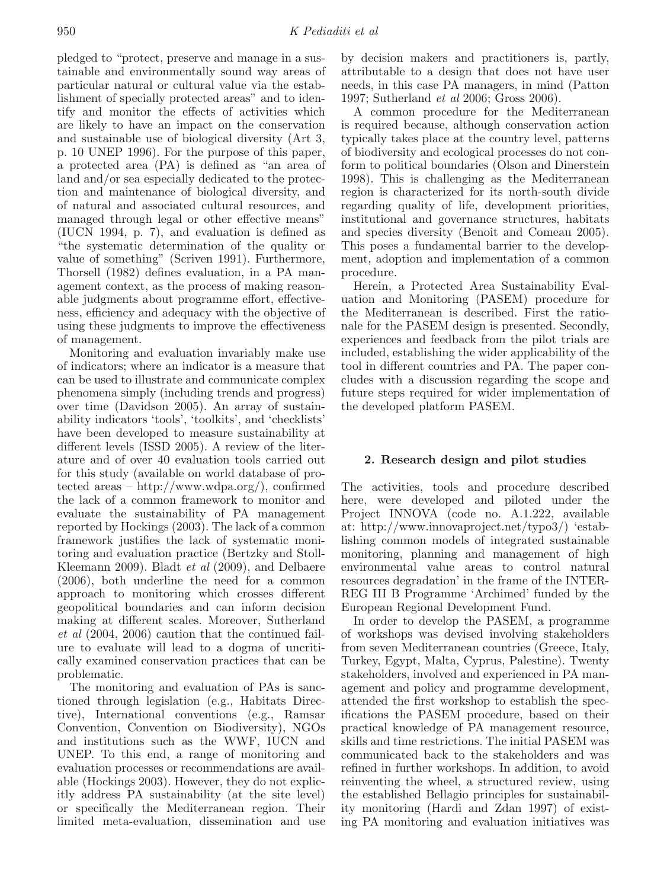pledged to "protect, preserve and manage in a sustainable and environmentally sound way areas of particular natural or cultural value via the establishment of specially protected areas" and to identify and monitor the effects of activities which are likely to have an impact on the conservation and sustainable use of biological diversity (Art 3, p. 10 UNEP 1996). For the purpose of this paper, a protected area (PA) is defined as "an area of land and/or sea especially dedicated to the protection and maintenance of biological diversity, and of natural and associated cultural resources, and managed through legal or other effective means" (IUCN 1994, p. 7), and evaluation is defined as "the systematic determination of the quality or value of something" (Scriven 1991). Furthermore, Thorsell (1982) defines evaluation, in a PA management context, as the process of making reasonable judgments about programme effort, effectiveness, efficiency and adequacy with the objective of using these judgments to improve the effectiveness of management.

Monitoring and evaluation invariably make use of indicators; where an indicator is a measure that can be used to illustrate and communicate complex phenomena simply (including trends and progress) over time (Davidson 2005). An array of sustainability indicators 'tools', 'toolkits', and 'checklists' have been developed to measure sustainability at different levels (ISSD 2005). A review of the literature and of over 40 evaluation tools carried out for this study (available on world database of protected areas – http://www.wdpa.org/), confirmed the lack of a common framework to monitor and evaluate the sustainability of PA management reported by Hockings (2003). The lack of a common framework justifies the lack of systematic monitoring and evaluation practice (Bertzky and Stoll-Kleemann 2009). Bladt et al (2009), and Delbaere (2006), both underline the need for a common approach to monitoring which crosses different geopolitical boundaries and can inform decision making at different scales. Moreover, Sutherland et al (2004, 2006) caution that the continued failure to evaluate will lead to a dogma of uncritically examined conservation practices that can be problematic.

The monitoring and evaluation of PAs is sanctioned through legislation (e.g., Habitats Directive), International conventions (e.g., Ramsar Convention, Convention on Biodiversity), NGOs and institutions such as the WWF, IUCN and UNEP. To this end, a range of monitoring and evaluation processes or recommendations are available (Hockings 2003). However, they do not explicitly address PA sustainability (at the site level) or specifically the Mediterranean region. Their limited meta-evaluation, dissemination and use by decision makers and practitioners is, partly, attributable to a design that does not have user needs, in this case PA managers, in mind (Patton 1997; Sutherland et al 2006; Gross 2006).

A common procedure for the Mediterranean is required because, although conservation action typically takes place at the country level, patterns of biodiversity and ecological processes do not conform to political boundaries (Olson and Dinerstein 1998). This is challenging as the Mediterranean region is characterized for its north-south divide regarding quality of life, development priorities, institutional and governance structures, habitats and species diversity (Benoit and Comeau 2005). This poses a fundamental barrier to the development, adoption and implementation of a common procedure.

Herein, a Protected Area Sustainability Evaluation and Monitoring (PASEM) procedure for the Mediterranean is described. First the rationale for the PASEM design is presented. Secondly, experiences and feedback from the pilot trials are included, establishing the wider applicability of the tool in different countries and PA. The paper concludes with a discussion regarding the scope and future steps required for wider implementation of the developed platform PASEM.

## **2. Research design and pilot studies**

The activities, tools and procedure described here, were developed and piloted under the Project INNOVA (code no. A.1.222, available at: http://www.innovaproject.net/typo3/) 'establishing common models of integrated sustainable monitoring, planning and management of high environmental value areas to control natural resources degradation' in the frame of the INTER-REG III B Programme 'Archimed' funded by the European Regional Development Fund.

In order to develop the PASEM, a programme of workshops was devised involving stakeholders from seven Mediterranean countries (Greece, Italy, Turkey, Egypt, Malta, Cyprus, Palestine). Twenty stakeholders, involved and experienced in PA management and policy and programme development, attended the first workshop to establish the specifications the PASEM procedure, based on their practical knowledge of PA management resource, skills and time restrictions. The initial PASEM was communicated back to the stakeholders and was refined in further workshops. In addition, to avoid reinventing the wheel, a structured review, using the established Bellagio principles for sustainability monitoring (Hardi and Zdan 1997) of existing PA monitoring and evaluation initiatives was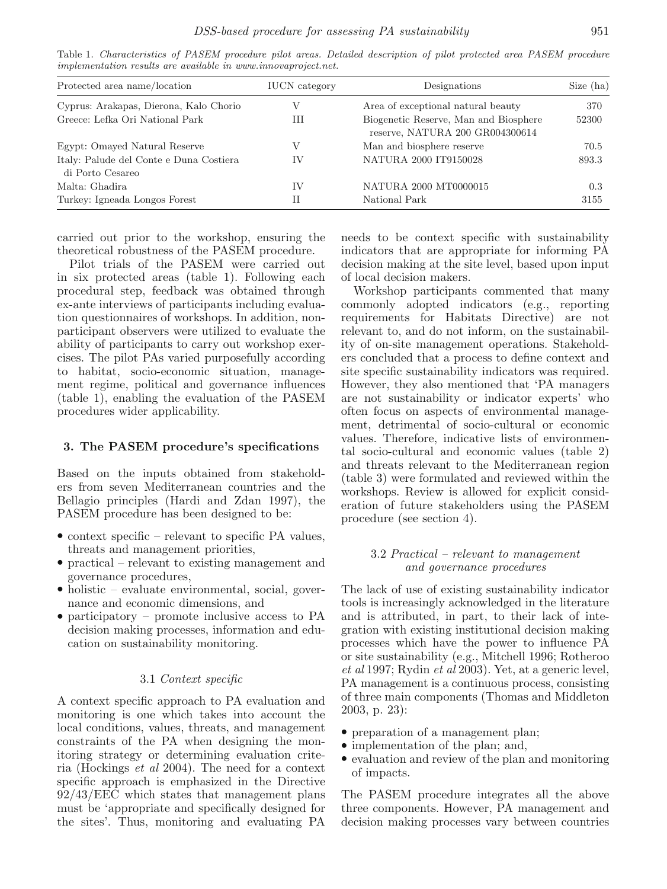| Protected area name/location                                | <b>IUCN</b> category | Designations                                                             | Size (ha) |
|-------------------------------------------------------------|----------------------|--------------------------------------------------------------------------|-----------|
| Cyprus: Arakapas, Dierona, Kalo Chorio                      | V                    | Area of exceptional natural beauty                                       | 370       |
| Greece: Lefka Ori National Park                             | Ш                    | Biogenetic Reserve, Man and Biosphere<br>reserve, NATURA 200 GR004300614 | 52300     |
| Egypt: Omayed Natural Reserve                               | V                    | Man and biosphere reserve                                                | 70.5      |
| Italy: Palude del Conte e Duna Costiera<br>di Porto Cesareo | <b>IV</b>            | NATURA 2000 IT9150028                                                    | 893.3     |
| Malta: Ghadira                                              | <b>IV</b>            | NATURA 2000 MT0000015                                                    | 0.3       |
| Turkey: Igneada Longos Forest                               | П                    | National Park                                                            | 3155      |

Table 1. Characteristics of PASEM procedure pilot areas. Detailed description of pilot protected area PASEM procedure implementation results are available in www.innovaproject.net.

carried out prior to the workshop, ensuring the theoretical robustness of the PASEM procedure.

Pilot trials of the PASEM were carried out in six protected areas (table 1). Following each procedural step, feedback was obtained through ex-ante interviews of participants including evaluation questionnaires of workshops. In addition, nonparticipant observers were utilized to evaluate the ability of participants to carry out workshop exercises. The pilot PAs varied purposefully according to habitat, socio-economic situation, management regime, political and governance influences (table 1), enabling the evaluation of the PASEM procedures wider applicability.

## **3. The PASEM procedure's specifications**

Based on the inputs obtained from stakeholders from seven Mediterranean countries and the Bellagio principles (Hardi and Zdan 1997), the PASEM procedure has been designed to be:

- $\bullet$  context specific relevant to specific PA values, threats and management priorities,
- practical relevant to existing management and governance procedures,
- holistic evaluate environmental, social, governance and economic dimensions, and
- participatory promote inclusive access to PA decision making processes, information and education on sustainability monitoring.

#### 3.1 Context specific

A context specific approach to PA evaluation and monitoring is one which takes into account the local conditions, values, threats, and management constraints of the PA when designing the monitoring strategy or determining evaluation criteria (Hockings et al 2004). The need for a context specific approach is emphasized in the Directive 92/43/EEC which states that management plans must be 'appropriate and specifically designed for the sites'. Thus, monitoring and evaluating PA needs to be context specific with sustainability indicators that are appropriate for informing PA decision making at the site level, based upon input of local decision makers.

Workshop participants commented that many commonly adopted indicators (e.g., reporting requirements for Habitats Directive) are not relevant to, and do not inform, on the sustainability of on-site management operations. Stakeholders concluded that a process to define context and site specific sustainability indicators was required. However, they also mentioned that 'PA managers are not sustainability or indicator experts' who often focus on aspects of environmental management, detrimental of socio-cultural or economic values. Therefore, indicative lists of environmental socio-cultural and economic values (table 2) and threats relevant to the Mediterranean region (table 3) were formulated and reviewed within the workshops. Review is allowed for explicit consideration of future stakeholders using the PASEM procedure (see section 4).

## 3.2 Practical – relevant to management and governance procedures

The lack of use of existing sustainability indicator tools is increasingly acknowledged in the literature and is attributed, in part, to their lack of integration with existing institutional decision making processes which have the power to influence PA or site sustainability (e.g., Mitchell 1996; Rotheroo et al 1997; Rydin et al 2003). Yet, at a generic level, PA management is a continuous process, consisting of three main components (Thomas and Middleton 2003, p. 23):

- preparation of a management plan;
- implementation of the plan; and,
- evaluation and review of the plan and monitoring of impacts.

The PASEM procedure integrates all the above three components. However, PA management and decision making processes vary between countries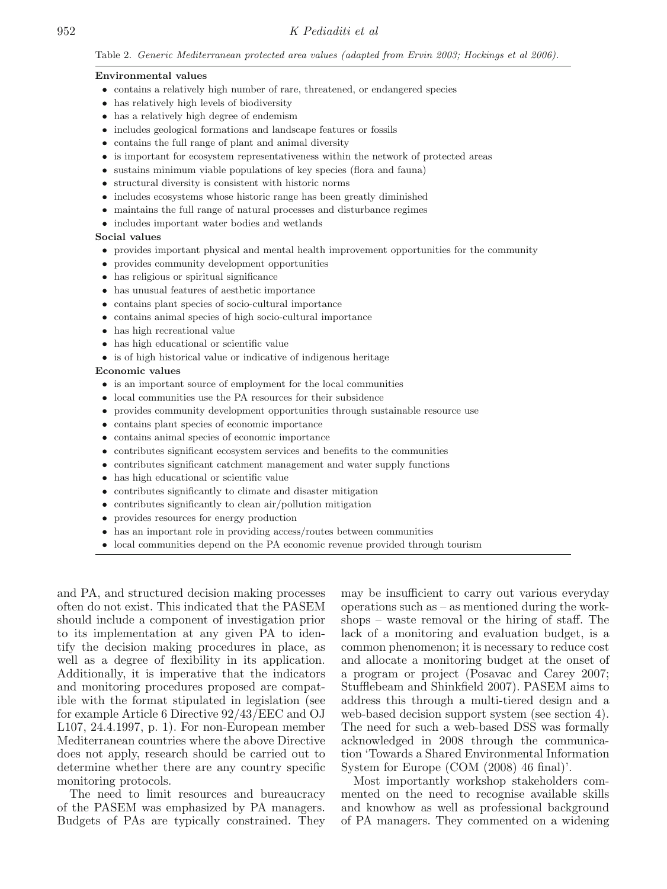#### **Environmental values**

- contains a relatively high number of rare, threatened, or endangered species
- has relatively high levels of biodiversity
- has a relatively high degree of endemism
- includes geological formations and landscape features or fossils
- contains the full range of plant and animal diversity
- is important for ecosystem representativeness within the network of protected areas
- sustains minimum viable populations of key species (flora and fauna)
- structural diversity is consistent with historic norms
- includes ecosystems whose historic range has been greatly diminished
- maintains the full range of natural processes and disturbance regimes
- includes important water bodies and wetlands

#### **Social values**

- provides important physical and mental health improvement opportunities for the community
- provides community development opportunities
- has religious or spiritual significance
- has unusual features of aesthetic importance
- contains plant species of socio-cultural importance
- contains animal species of high socio-cultural importance
- has high recreational value
- has high educational or scientific value
- is of high historical value or indicative of indigenous heritage

#### **Economic values**

- is an important source of employment for the local communities
- local communities use the PA resources for their subsidence
- provides community development opportunities through sustainable resource use
- contains plant species of economic importance
- contains animal species of economic importance
- contributes significant ecosystem services and benefits to the communities
- contributes significant catchment management and water supply functions
- has high educational or scientific value
- contributes significantly to climate and disaster mitigation
- contributes significantly to clean air/pollution mitigation
- provides resources for energy production
- has an important role in providing access/routes between communities
- local communities depend on the PA economic revenue provided through tourism

and PA, and structured decision making processes often do not exist. This indicated that the PASEM should include a component of investigation prior to its implementation at any given PA to identify the decision making procedures in place, as well as a degree of flexibility in its application. Additionally, it is imperative that the indicators and monitoring procedures proposed are compatible with the format stipulated in legislation (see for example Article 6 Directive 92/43/EEC and OJ L107, 24.4.1997, p. 1). For non-European member Mediterranean countries where the above Directive does not apply, research should be carried out to determine whether there are any country specific monitoring protocols.

The need to limit resources and bureaucracy of the PASEM was emphasized by PA managers. Budgets of PAs are typically constrained. They may be insufficient to carry out various everyday operations such as – as mentioned during the workshops – waste removal or the hiring of staff. The lack of a monitoring and evaluation budget, is a common phenomenon; it is necessary to reduce cost and allocate a monitoring budget at the onset of a program or project (Posavac and Carey 2007; Stufflebeam and Shinkfield 2007). PASEM aims to address this through a multi-tiered design and a web-based decision support system (see section 4). The need for such a web-based DSS was formally acknowledged in 2008 through the communication 'Towards a Shared Environmental Information System for Europe (COM (2008) 46 final)'.

Most importantly workshop stakeholders commented on the need to recognise available skills and knowhow as well as professional background of PA managers. They commented on a widening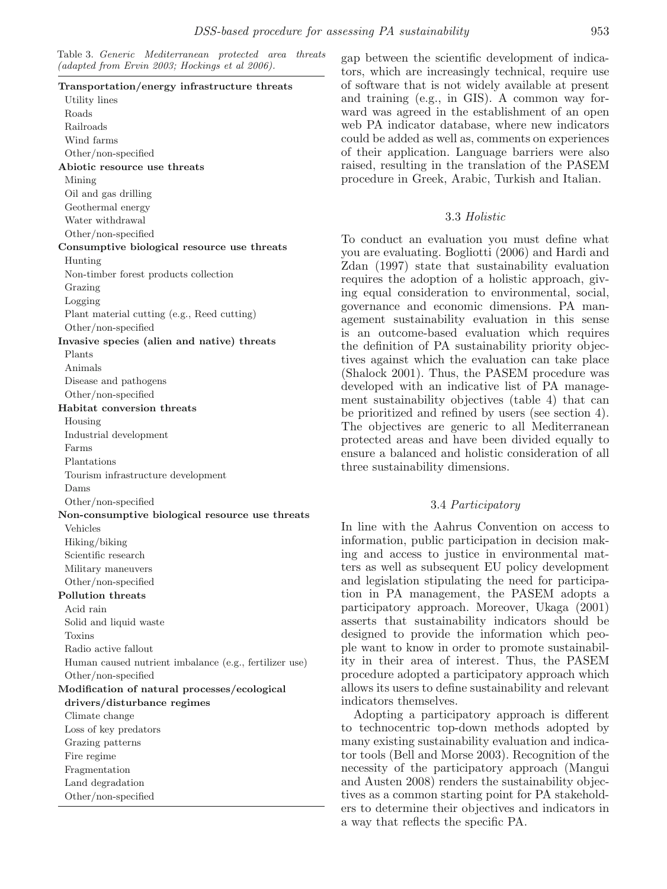Table 3. Generic Mediterranean protected area threats (adapted from Ervin 2003; Hockings et al 2006).

**Transportation/energy infrastructure threats** Utility lines Roads Railroads Wind farms Other/non-specified **Abiotic resource use threats** Mining Oil and gas drilling Geothermal energy Water withdrawal Other/non-specified **Consumptive biological resource use threats** Hunting Non-timber forest products collection Grazing Logging Plant material cutting (e.g., Reed cutting) Other/non-specified **Invasive species (alien and native) threats** Plants Animals Disease and pathogens Other/non-specified **Habitat conversion threats** Housing Industrial development Farms Plantations Tourism infrastructure development Dams Other/non-specified **Non-consumptive biological resource use threats** Vehicles Hiking/biking Scientific research Military maneuvers Other/non-specified **Pollution threats** Acid rain Solid and liquid waste Toxins Radio active fallout Human caused nutrient imbalance (e.g., fertilizer use) Other/non-specified **Modification of natural processes/ecological drivers/disturbance regimes** Climate change Loss of key predators Grazing patterns Fire regime Fragmentation Land degradation Other/non-specified

gap between the scientific development of indicators, which are increasingly technical, require use of software that is not widely available at present and training (e.g., in GIS). A common way forward was agreed in the establishment of an open web PA indicator database, where new indicators could be added as well as, comments on experiences of their application. Language barriers were also raised, resulting in the translation of the PASEM procedure in Greek, Arabic, Turkish and Italian.

## 3.3 Holistic

To conduct an evaluation you must define what you are evaluating. Bogliotti (2006) and Hardi and Zdan (1997) state that sustainability evaluation requires the adoption of a holistic approach, giving equal consideration to environmental, social, governance and economic dimensions. PA management sustainability evaluation in this sense is an outcome-based evaluation which requires the definition of PA sustainability priority objectives against which the evaluation can take place (Shalock 2001). Thus, the PASEM procedure was developed with an indicative list of PA management sustainability objectives (table 4) that can be prioritized and refined by users (see section 4). The objectives are generic to all Mediterranean protected areas and have been divided equally to ensure a balanced and holistic consideration of all three sustainability dimensions.

# 3.4 Participatory

In line with the Aahrus Convention on access to information, public participation in decision making and access to justice in environmental matters as well as subsequent EU policy development and legislation stipulating the need for participation in PA management, the PASEM adopts a participatory approach. Moreover, Ukaga (2001) asserts that sustainability indicators should be designed to provide the information which people want to know in order to promote sustainability in their area of interest. Thus, the PASEM procedure adopted a participatory approach which allows its users to define sustainability and relevant indicators themselves.

Adopting a participatory approach is different to technocentric top-down methods adopted by many existing sustainability evaluation and indicator tools (Bell and Morse 2003). Recognition of the necessity of the participatory approach (Mangui and Austen 2008) renders the sustainability objectives as a common starting point for PA stakeholders to determine their objectives and indicators in a way that reflects the specific PA.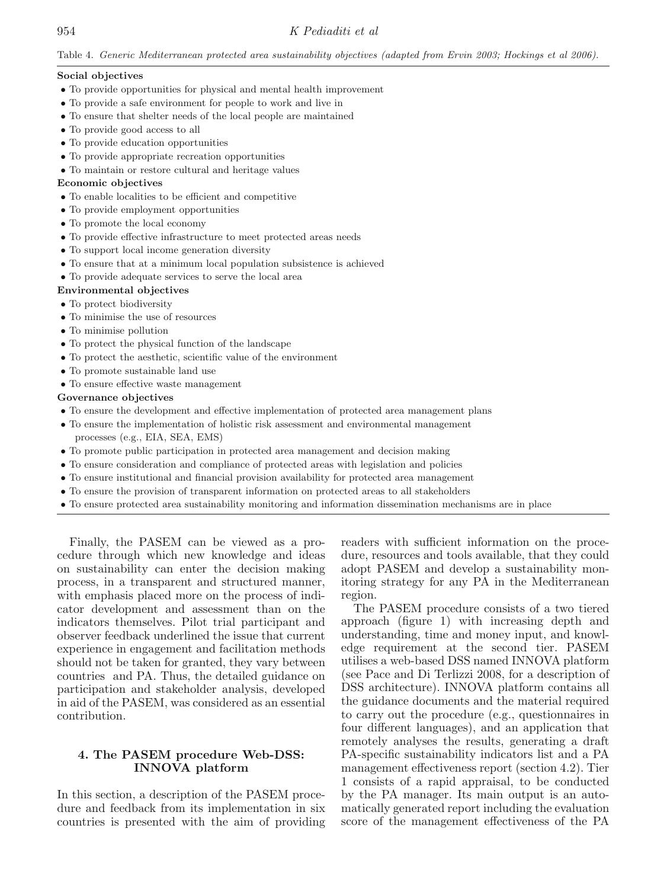Table 4. Generic Mediterranean protected area sustainability objectives (adapted from Ervin 2003; Hockings et al 2006).

#### **Social objectives**

- To provide opportunities for physical and mental health improvement
- To provide a safe environment for people to work and live in
- To ensure that shelter needs of the local people are maintained
- To provide good access to all
- To provide education opportunities
- To provide appropriate recreation opportunities
- To maintain or restore cultural and heritage values

#### **Economic objectives**

- To enable localities to be efficient and competitive
- To provide employment opportunities
- To promote the local economy
- To provide effective infrastructure to meet protected areas needs
- To support local income generation diversity
- To ensure that at a minimum local population subsistence is achieved
- To provide adequate services to serve the local area

#### **Environmental objectives**

- To protect biodiversity
- To minimise the use of resources
- To minimise pollution
- To protect the physical function of the landscape
- To protect the aesthetic, scientific value of the environment
- To promote sustainable land use
- To ensure effective waste management

#### **Governance objectives**

- To ensure the development and effective implementation of protected area management plans
- To ensure the implementation of holistic risk assessment and environmental management processes (e.g., EIA, SEA, EMS)
- To promote public participation in protected area management and decision making
- To ensure consideration and compliance of protected areas with legislation and policies
- To ensure institutional and financial provision availability for protected area management
- To ensure the provision of transparent information on protected areas to all stakeholders
- To ensure protected area sustainability monitoring and information dissemination mechanisms are in place

Finally, the PASEM can be viewed as a procedure through which new knowledge and ideas on sustainability can enter the decision making process, in a transparent and structured manner, with emphasis placed more on the process of indicator development and assessment than on the indicators themselves. Pilot trial participant and observer feedback underlined the issue that current experience in engagement and facilitation methods should not be taken for granted, they vary between countries and PA. Thus, the detailed guidance on participation and stakeholder analysis, developed in aid of the PASEM, was considered as an essential contribution.

## **4. The PASEM procedure Web-DSS: INNOVA platform**

In this section, a description of the PASEM procedure and feedback from its implementation in six countries is presented with the aim of providing readers with sufficient information on the procedure, resources and tools available, that they could adopt PASEM and develop a sustainability monitoring strategy for any PA in the Mediterranean region.

The PASEM procedure consists of a two tiered approach (figure 1) with increasing depth and understanding, time and money input, and knowledge requirement at the second tier. PASEM utilises a web-based DSS named INNOVA platform (see Pace and Di Terlizzi 2008, for a description of DSS architecture). INNOVA platform contains all the guidance documents and the material required to carry out the procedure (e.g., questionnaires in four different languages), and an application that remotely analyses the results, generating a draft PA-specific sustainability indicators list and a PA management effectiveness report (section 4.2). Tier 1 consists of a rapid appraisal, to be conducted by the PA manager. Its main output is an automatically generated report including the evaluation score of the management effectiveness of the PA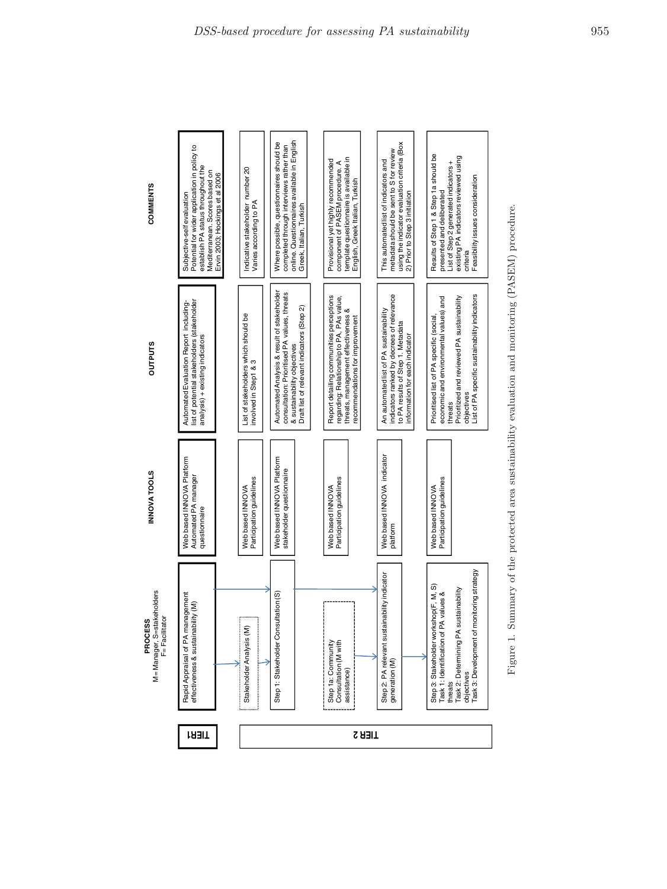COMMENTS **ISLIMING COMMENTS AND SUSPICE SOMETHER COMMENTS COMMENTS** 

**OUTPUTS** 

**NNOVATOOLS** 

PROCESS<br>M=Manager, S=stakeholders<br>F= Facilitator M= Manager, S=stakeholders F= Facilitator **PROCESS**

**TIER1** 



**TIER 2**

Step 2: PA relevant sustainability indicator

Step 2: PA relevant sustainability indicator<br>generation (M)

Web based INNOVA indicator Webbased INNOVA indicator<br>platform

An automated list of PA sustainability indicators ranked by decrees of relevance to PA results of Step 1. Metadata information for each indicator

An automatedlist of PA sustainability<br>indicators ranked by decrees of relevance<br>to PA results of Step 1. Metadata<br>information for each indicator

This automated list of indicators and metadata should be sent to S for review using the indicator evaluation criteria (Box

2) Prior to Step 3 initiation

using the indicator evaluation criteria (Box<br>2) Prior to Step 3 initiation This automated list of indicators and<br>metadata should be sent to S for review

Results of Step 1 & Step 1a should be presented and deliberated List of Step 2 generated indicators + existing PA indicators reviewed using criteria<br>Feasibility issues consideration Feasibility issues consideration

Results of Step 1 & Step 1a should be

existing PA indicators reviewed using

presented and deliberated<br>List of Step 2 generated indicators +

generation (M)

Step 3: Stakeholder workshop(F, M, S) Task 1: Identification of PA values &

Step 3: Stakeholder workshop(F, M,<br>Task 1: Identification of PA values &

6

Web based INNOVA Participation guidelines

Web based INNOVA<br>Participation guidelines

Prioritised list of PA specific (social, economic and environmental values) and economic and environmental values) and<br>threats Prioritized and reviewed PA sustainability objectives<br>List of PA specific sustainability indicators List of PA specific sustainability indicators

Prioritised list of PA specific (social,

Prioritized and reviewed PA sustainability

threats

Task 2: Determining PA sustainability objectives<br>Task 3: Development of monitoring strategy Task 3: Development of monitoring strategy

Task 2: Determining PA sustainability

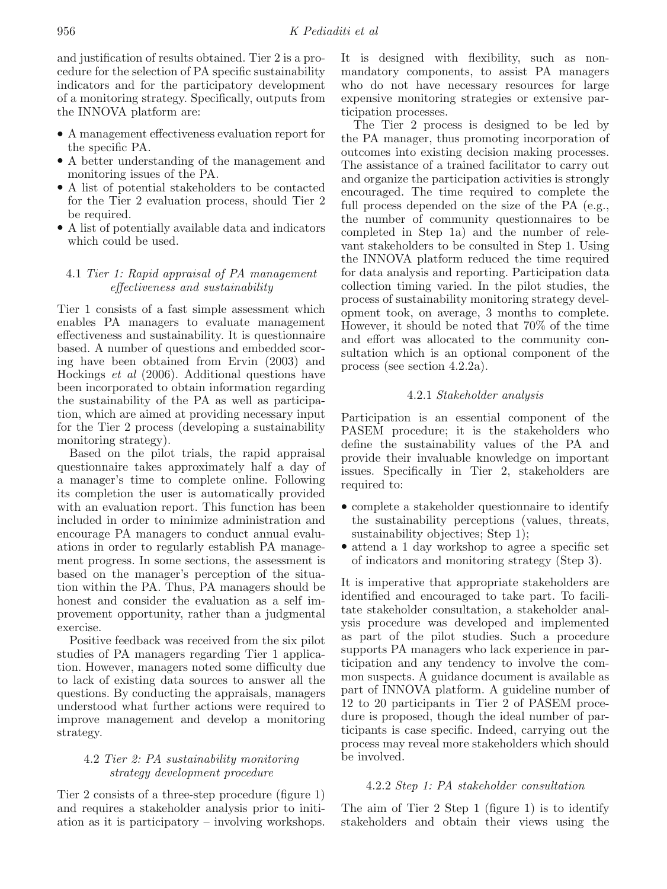and justification of results obtained. Tier 2 is a procedure for the selection of PA specific sustainability indicators and for the participatory development of a monitoring strategy. Specifically, outputs from the INNOVA platform are:

- A management effectiveness evaluation report for the specific PA.
- A better understanding of the management and monitoring issues of the PA.
- A list of potential stakeholders to be contacted for the Tier 2 evaluation process, should Tier 2 be required.
- A list of potentially available data and indicators which could be used.

## 4.1 Tier 1: Rapid appraisal of PA management effectiveness and sustainability

Tier 1 consists of a fast simple assessment which enables PA managers to evaluate management effectiveness and sustainability. It is questionnaire based. A number of questions and embedded scoring have been obtained from Ervin (2003) and Hockings et al (2006). Additional questions have been incorporated to obtain information regarding the sustainability of the PA as well as participation, which are aimed at providing necessary input for the Tier 2 process (developing a sustainability monitoring strategy).

Based on the pilot trials, the rapid appraisal questionnaire takes approximately half a day of a manager's time to complete online. Following its completion the user is automatically provided with an evaluation report. This function has been included in order to minimize administration and encourage PA managers to conduct annual evaluations in order to regularly establish PA management progress. In some sections, the assessment is based on the manager's perception of the situation within the PA. Thus, PA managers should be honest and consider the evaluation as a self improvement opportunity, rather than a judgmental exercise.

Positive feedback was received from the six pilot studies of PA managers regarding Tier 1 application. However, managers noted some difficulty due to lack of existing data sources to answer all the questions. By conducting the appraisals, managers understood what further actions were required to improve management and develop a monitoring strategy.

## 4.2 Tier 2: PA sustainability monitoring strategy development procedure

Tier 2 consists of a three-step procedure (figure 1) and requires a stakeholder analysis prior to initiation as it is participatory – involving workshops. It is designed with flexibility, such as nonmandatory components, to assist PA managers who do not have necessary resources for large expensive monitoring strategies or extensive participation processes.

The Tier 2 process is designed to be led by the PA manager, thus promoting incorporation of outcomes into existing decision making processes. The assistance of a trained facilitator to carry out and organize the participation activities is strongly encouraged. The time required to complete the full process depended on the size of the PA (e.g., the number of community questionnaires to be completed in Step 1a) and the number of relevant stakeholders to be consulted in Step 1. Using the INNOVA platform reduced the time required for data analysis and reporting. Participation data collection timing varied. In the pilot studies, the process of sustainability monitoring strategy development took, on average, 3 months to complete. However, it should be noted that 70% of the time and effort was allocated to the community consultation which is an optional component of the process (see section 4.2.2a).

## 4.2.1 Stakeholder analysis

Participation is an essential component of the PASEM procedure; it is the stakeholders who define the sustainability values of the PA and provide their invaluable knowledge on important issues. Specifically in Tier 2, stakeholders are required to:

- complete a stakeholder questionnaire to identify the sustainability perceptions (values, threats, sustainability objectives; Step 1);
- attend a 1 day workshop to agree a specific set of indicators and monitoring strategy (Step 3).

It is imperative that appropriate stakeholders are identified and encouraged to take part. To facilitate stakeholder consultation, a stakeholder analysis procedure was developed and implemented as part of the pilot studies. Such a procedure supports PA managers who lack experience in participation and any tendency to involve the common suspects. A guidance document is available as part of INNOVA platform. A guideline number of 12 to 20 participants in Tier 2 of PASEM procedure is proposed, though the ideal number of participants is case specific. Indeed, carrying out the process may reveal more stakeholders which should be involved.

## 4.2.2 Step 1: PA stakeholder consultation

The aim of Tier 2 Step 1 (figure 1) is to identify stakeholders and obtain their views using the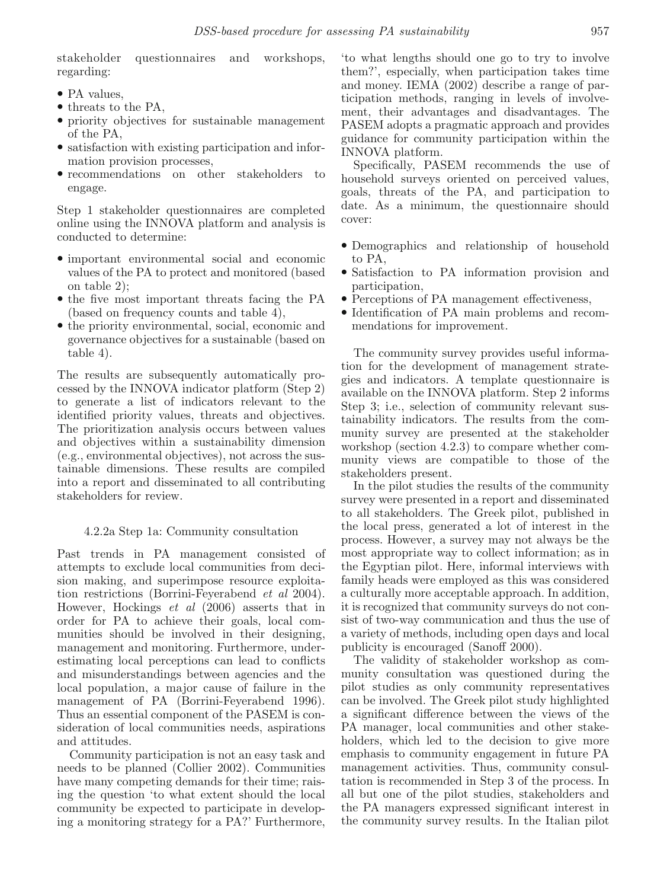stakeholder questionnaires and workshops, regarding:

- PA values,
- threats to the PA,
- priority objectives for sustainable management of the PA,
- satisfaction with existing participation and information provision processes,
- recommendations on other stakeholders to engage.

Step 1 stakeholder questionnaires are completed online using the INNOVA platform and analysis is conducted to determine:

- important environmental social and economic values of the PA to protect and monitored (based on table 2);
- the five most important threats facing the PA (based on frequency counts and table 4),
- the priority environmental, social, economic and governance objectives for a sustainable (based on table 4).

The results are subsequently automatically processed by the INNOVA indicator platform (Step 2) to generate a list of indicators relevant to the identified priority values, threats and objectives. The prioritization analysis occurs between values and objectives within a sustainability dimension (e.g., environmental objectives), not across the sustainable dimensions. These results are compiled into a report and disseminated to all contributing stakeholders for review.

## 4.2.2a Step 1a: Community consultation

Past trends in PA management consisted of attempts to exclude local communities from decision making, and superimpose resource exploitation restrictions (Borrini-Feyerabend et al 2004). However, Hockings et al (2006) asserts that in order for PA to achieve their goals, local communities should be involved in their designing, management and monitoring. Furthermore, underestimating local perceptions can lead to conflicts and misunderstandings between agencies and the local population, a major cause of failure in the management of PA (Borrini-Feyerabend 1996). Thus an essential component of the PASEM is consideration of local communities needs, aspirations and attitudes.

Community participation is not an easy task and needs to be planned (Collier 2002). Communities have many competing demands for their time; raising the question 'to what extent should the local community be expected to participate in developing a monitoring strategy for a PA?' Furthermore,

'to what lengths should one go to try to involve them?', especially, when participation takes time and money. IEMA (2002) describe a range of participation methods, ranging in levels of involvement, their advantages and disadvantages. The PASEM adopts a pragmatic approach and provides guidance for community participation within the INNOVA platform.

Specifically, PASEM recommends the use of household surveys oriented on perceived values, goals, threats of the PA, and participation to date. As a minimum, the questionnaire should cover:

- Demographics and relationship of household to PA,
- Satisfaction to PA information provision and participation,
- Perceptions of PA management effectiveness,
- Identification of PA main problems and recommendations for improvement.

The community survey provides useful information for the development of management strategies and indicators. A template questionnaire is available on the INNOVA platform. Step 2 informs Step 3; i.e., selection of community relevant sustainability indicators. The results from the community survey are presented at the stakeholder workshop (section 4.2.3) to compare whether community views are compatible to those of the stakeholders present.

In the pilot studies the results of the community survey were presented in a report and disseminated to all stakeholders. The Greek pilot, published in the local press, generated a lot of interest in the process. However, a survey may not always be the most appropriate way to collect information; as in the Egyptian pilot. Here, informal interviews with family heads were employed as this was considered a culturally more acceptable approach. In addition, it is recognized that community surveys do not consist of two-way communication and thus the use of a variety of methods, including open days and local publicity is encouraged (Sanoff 2000).

The validity of stakeholder workshop as community consultation was questioned during the pilot studies as only community representatives can be involved. The Greek pilot study highlighted a significant difference between the views of the PA manager, local communities and other stakeholders, which led to the decision to give more emphasis to community engagement in future PA management activities. Thus, community consultation is recommended in Step 3 of the process. In all but one of the pilot studies, stakeholders and the PA managers expressed significant interest in the community survey results. In the Italian pilot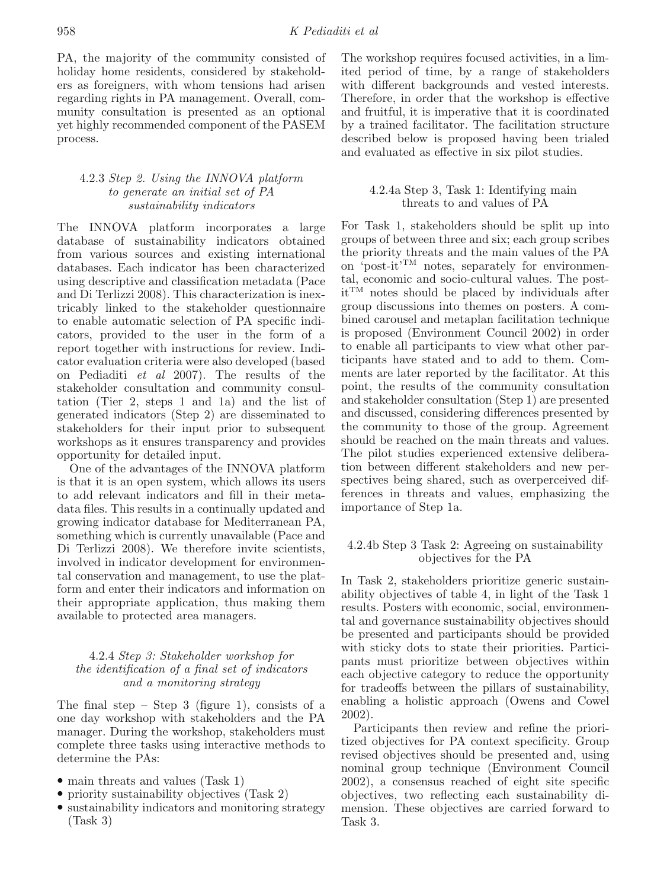PA, the majority of the community consisted of holiday home residents, considered by stakeholders as foreigners, with whom tensions had arisen regarding rights in PA management. Overall, community consultation is presented as an optional yet highly recommended component of the PASEM process.

# 4.2.3 Step 2. Using the INNOVA platform to generate an initial set of PA sustainability indicators

The INNOVA platform incorporates a large database of sustainability indicators obtained from various sources and existing international databases. Each indicator has been characterized using descriptive and classification metadata (Pace and Di Terlizzi 2008). This characterization is inextricably linked to the stakeholder questionnaire to enable automatic selection of PA specific indicators, provided to the user in the form of a report together with instructions for review. Indicator evaluation criteria were also developed (based on Pediaditi et al 2007). The results of the stakeholder consultation and community consultation (Tier 2, steps 1 and 1a) and the list of generated indicators (Step 2) are disseminated to stakeholders for their input prior to subsequent workshops as it ensures transparency and provides opportunity for detailed input.

One of the advantages of the INNOVA platform is that it is an open system, which allows its users to add relevant indicators and fill in their metadata files. This results in a continually updated and growing indicator database for Mediterranean PA, something which is currently unavailable (Pace and Di Terlizzi 2008). We therefore invite scientists, involved in indicator development for environmental conservation and management, to use the platform and enter their indicators and information on their appropriate application, thus making them available to protected area managers.

# 4.2.4 Step 3: Stakeholder workshop for the identification of a final set of indicators and a monitoring strategy

The final step – Step 3 (figure 1), consists of a one day workshop with stakeholders and the PA manager. During the workshop, stakeholders must complete three tasks using interactive methods to determine the PAs:

- main threats and values (Task 1)
- priority sustainability objectives (Task 2)
- sustainability indicators and monitoring strategy (Task 3)

The workshop requires focused activities, in a limited period of time, by a range of stakeholders with different backgrounds and vested interests. Therefore, in order that the workshop is effective and fruitful, it is imperative that it is coordinated by a trained facilitator. The facilitation structure described below is proposed having been trialed and evaluated as effective in six pilot studies.

# 4.2.4a Step 3, Task 1: Identifying main threats to and values of PA

For Task 1, stakeholders should be split up into groups of between three and six; each group scribes the priority threats and the main values of the PA on  $\overline{\text{post-it}}^{\text{TM}}$  notes, separately for environmental, economic and socio-cultural values. The postit<sup>TM</sup> notes should be placed by individuals after group discussions into themes on posters. A combined carousel and metaplan facilitation technique is proposed (Environment Council 2002) in order to enable all participants to view what other participants have stated and to add to them. Comments are later reported by the facilitator. At this point, the results of the community consultation and stakeholder consultation (Step 1) are presented and discussed, considering differences presented by the community to those of the group. Agreement should be reached on the main threats and values. The pilot studies experienced extensive deliberation between different stakeholders and new perspectives being shared, such as overperceived differences in threats and values, emphasizing the importance of Step 1a.

# 4.2.4b Step 3 Task 2: Agreeing on sustainability objectives for the PA

In Task 2, stakeholders prioritize generic sustainability objectives of table 4, in light of the Task 1 results. Posters with economic, social, environmental and governance sustainability objectives should be presented and participants should be provided with sticky dots to state their priorities. Participants must prioritize between objectives within each objective category to reduce the opportunity for tradeoffs between the pillars of sustainability, enabling a holistic approach (Owens and Cowel 2002).

Participants then review and refine the prioritized objectives for PA context specificity. Group revised objectives should be presented and, using nominal group technique (Environment Council 2002), a consensus reached of eight site specific objectives, two reflecting each sustainability dimension. These objectives are carried forward to Task 3.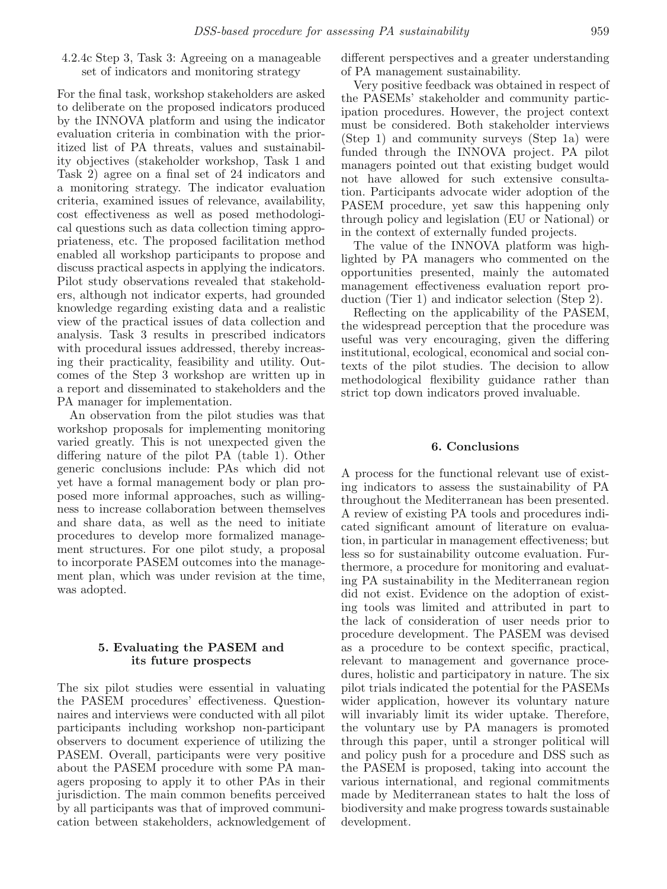## 4.2.4c Step 3, Task 3: Agreeing on a manageable set of indicators and monitoring strategy

For the final task, workshop stakeholders are asked to deliberate on the proposed indicators produced by the INNOVA platform and using the indicator evaluation criteria in combination with the prioritized list of PA threats, values and sustainability objectives (stakeholder workshop, Task 1 and Task 2) agree on a final set of 24 indicators and a monitoring strategy. The indicator evaluation criteria, examined issues of relevance, availability, cost effectiveness as well as posed methodological questions such as data collection timing appropriateness, etc. The proposed facilitation method enabled all workshop participants to propose and discuss practical aspects in applying the indicators. Pilot study observations revealed that stakeholders, although not indicator experts, had grounded knowledge regarding existing data and a realistic view of the practical issues of data collection and analysis. Task 3 results in prescribed indicators with procedural issues addressed, thereby increasing their practicality, feasibility and utility. Outcomes of the Step 3 workshop are written up in a report and disseminated to stakeholders and the PA manager for implementation.

An observation from the pilot studies was that workshop proposals for implementing monitoring varied greatly. This is not unexpected given the differing nature of the pilot PA (table 1). Other generic conclusions include: PAs which did not yet have a formal management body or plan proposed more informal approaches, such as willingness to increase collaboration between themselves and share data, as well as the need to initiate procedures to develop more formalized management structures. For one pilot study, a proposal to incorporate PASEM outcomes into the management plan, which was under revision at the time, was adopted.

## **5. Evaluating the PASEM and its future prospects**

The six pilot studies were essential in valuating the PASEM procedures' effectiveness. Questionnaires and interviews were conducted with all pilot participants including workshop non-participant observers to document experience of utilizing the PASEM. Overall, participants were very positive about the PASEM procedure with some PA managers proposing to apply it to other PAs in their jurisdiction. The main common benefits perceived by all participants was that of improved communication between stakeholders, acknowledgement of different perspectives and a greater understanding of PA management sustainability.

Very positive feedback was obtained in respect of the PASEMs' stakeholder and community participation procedures. However, the project context must be considered. Both stakeholder interviews (Step 1) and community surveys (Step 1a) were funded through the INNOVA project. PA pilot managers pointed out that existing budget would not have allowed for such extensive consultation. Participants advocate wider adoption of the PASEM procedure, yet saw this happening only through policy and legislation (EU or National) or in the context of externally funded projects.

The value of the INNOVA platform was highlighted by PA managers who commented on the opportunities presented, mainly the automated management effectiveness evaluation report production (Tier 1) and indicator selection (Step 2).

Reflecting on the applicability of the PASEM, the widespread perception that the procedure was useful was very encouraging, given the differing institutional, ecological, economical and social contexts of the pilot studies. The decision to allow methodological flexibility guidance rather than strict top down indicators proved invaluable.

### **6. Conclusions**

A process for the functional relevant use of existing indicators to assess the sustainability of PA throughout the Mediterranean has been presented. A review of existing PA tools and procedures indicated significant amount of literature on evaluation, in particular in management effectiveness; but less so for sustainability outcome evaluation. Furthermore, a procedure for monitoring and evaluating PA sustainability in the Mediterranean region did not exist. Evidence on the adoption of existing tools was limited and attributed in part to the lack of consideration of user needs prior to procedure development. The PASEM was devised as a procedure to be context specific, practical, relevant to management and governance procedures, holistic and participatory in nature. The six pilot trials indicated the potential for the PASEMs wider application, however its voluntary nature will invariably limit its wider uptake. Therefore, the voluntary use by PA managers is promoted through this paper, until a stronger political will and policy push for a procedure and DSS such as the PASEM is proposed, taking into account the various international, and regional commitments made by Mediterranean states to halt the loss of biodiversity and make progress towards sustainable development.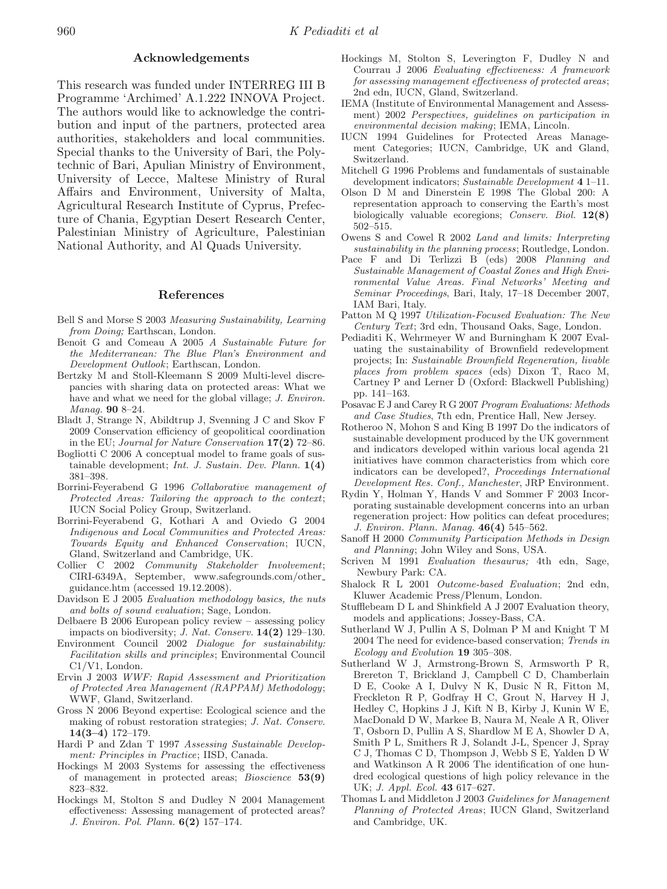#### **Acknowledgements**

This research was funded under INTERREG III B Programme 'Archimed' A.1.222 INNOVA Project. The authors would like to acknowledge the contribution and input of the partners, protected area authorities, stakeholders and local communities. Special thanks to the University of Bari, the Polytechnic of Bari, Apulian Ministry of Environment, University of Lecce, Maltese Ministry of Rural Affairs and Environment, University of Malta, Agricultural Research Institute of Cyprus, Prefecture of Chania, Egyptian Desert Research Center, Palestinian Ministry of Agriculture, Palestinian National Authority, and Al Quads University.

#### **References**

- Bell S and Morse S 2003 Measuring Sustainability, Learning from Doing; Earthscan, London.
- Benoit G and Comeau A 2005 A Sustainable Future for the Mediterranean: The Blue Plan's Environment and Development Outlook; Earthscan, London.
- Bertzky M and Stoll-Kleemann S 2009 Multi-level discrepancies with sharing data on protected areas: What we have and what we need for the global village; J. Environ. Manag. **90** 8–24.
- Bladt J, Strange N, Abildtrup J, Svenning J C and Skov F 2009 Conservation efficiency of geopolitical coordination in the EU; Journal for Nature Conservation **17(2)** 72–86.
- Bogliotti C 2006 A conceptual model to frame goals of sustainable development; Int. J. Sustain. Dev. Plann. **1(4)** 381–398.
- Borrini-Feyerabend G 1996 Collaborative management of Protected Areas: Tailoring the approach to the context; IUCN Social Policy Group, Switzerland.
- Borrini-Feyerabend G, Kothari A and Oviedo G 2004 Indigenous and Local Communities and Protected Areas: Towards Equity and Enhanced Conservation; IUCN, Gland, Switzerland and Cambridge, UK.
- Collier C 2002 Community Stakeholder Involvement; CIRI-6349A, September, www.safegrounds.com/other guidance.htm (accessed 19.12.2008).
- Davidson E J 2005 Evaluation methodology basics, the nuts and bolts of sound evaluation; Sage, London.
- Delbaere B 2006 European policy review assessing policy impacts on biodiversity; J. Nat. Conserv. **14(2)** 129–130.
- Environment Council 2002 Dialogue for sustainability: Facilitation skills and principles; Environmental Council C1/V1, London.
- Ervin J 2003 WWF: Rapid Assessment and Prioritization of Protected Area Management (RAPPAM) Methodology; WWF, Gland, Switzerland.
- Gross N 2006 Beyond expertise: Ecological science and the making of robust restoration strategies; J. Nat. Conserv. **14(3–4)** 172–179.
- Hardi P and Zdan T 1997 Assessing Sustainable Development: Principles in Practice; IISD, Canada.
- Hockings M 2003 Systems for assessing the effectiveness of management in protected areas; Bioscience **53(9)** 823–832.
- Hockings M, Stolton S and Dudley N 2004 Management effectiveness: Assessing management of protected areas? J. Environ. Pol. Plann. **6(2)** 157–174.
- Hockings M, Stolton S, Leverington F, Dudley N and Courrau J 2006 Evaluating effectiveness: A framework for assessing management effectiveness of protected areas; 2nd edn, IUCN, Gland, Switzerland.
- IEMA (Institute of Environmental Management and Assessment) 2002 Perspectives, guidelines on participation in environmental decision making; IEMA, Lincoln.
- IUCN 1994 Guidelines for Protected Areas Management Categories; IUCN, Cambridge, UK and Gland, Switzerland.
- Mitchell G 1996 Problems and fundamentals of sustainable development indicators; Sustainable Development **4** 1–11.
- Olson D M and Dinerstein E 1998 The Global 200: A representation approach to conserving the Earth's most biologically valuable ecoregions; Conserv. Biol. **12(8)** 502–515.
- Owens S and Cowel R 2002 Land and limits: Interpreting sustainability in the planning process; Routledge, London.
- Pace F and Di Terlizzi B (eds) 2008 Planning and Sustainable Management of Coastal Zones and High Environmental Value Areas. Final Networks' Meeting and Seminar Proceedings, Bari, Italy, 17–18 December 2007, IAM Bari, Italy.
- Patton M Q 1997 Utilization-Focused Evaluation: The New Century Text; 3rd edn, Thousand Oaks, Sage, London.
- Pediaditi K, Wehrmeyer W and Burningham K 2007 Evaluating the sustainability of Brownfield redevelopment projects; In: Sustainable Brownfield Regeneration, livable places from problem spaces (eds) Dixon T, Raco M, Cartney P and Lerner D (Oxford: Blackwell Publishing) pp. 141–163.
- Posavac E J and Carey R G 2007 Program Evaluations: Methods and Case Studies, 7th edn, Prentice Hall, New Jersey.
- Rotheroo N, Mohon S and King B 1997 Do the indicators of sustainable development produced by the UK government and indicators developed within various local agenda 21 initiatives have common characteristics from which core indicators can be developed?, Proceedings International Development Res. Conf., Manchester, JRP Environment.
- Rydin Y, Holman Y, Hands V and Sommer F 2003 Incorporating sustainable development concerns into an urban regeneration project: How politics can defeat procedures; J. Environ. Plann. Manag. **46(4)** 545–562.
- Sanoff H 2000 Community Participation Methods in Design and Planning; John Wiley and Sons, USA.
- Scriven M 1991 Evaluation thesaurus; 4th edn, Sage, Newbury Park: CA.
- Shalock R L 2001 Outcome-based Evaluation; 2nd edn, Kluwer Academic Press/Plenum, London.
- Stufflebeam D L and Shinkfield A J 2007 Evaluation theory, models and applications; Jossey-Bass, CA.
- Sutherland W J, Pullin A S, Dolman P M and Knight T M 2004 The need for evidence-based conservation; Trends in Ecology and Evolution **19** 305–308.
- Sutherland W J, Armstrong-Brown S, Armsworth P R, Brereton T, Brickland J, Campbell C D, Chamberlain D E, Cooke A I, Dulvy N K, Dusic N R, Fitton M, Freckleton R P, Godfray H C, Grout N, Harvey H J, Hedley C, Hopkins J J, Kift N B, Kirby J, Kunin W E, MacDonald D W, Markee B, Naura M, Neale A R, Oliver T, Osborn D, Pullin A S, Shardlow M E A, Showler D A, Smith P L, Smithers R J, Solandt J-L, Spencer J, Spray C J, Thomas C D, Thompson J, Webb S E, Yalden D W and Watkinson A R 2006 The identification of one hundred ecological questions of high policy relevance in the UK; J. Appl. Ecol. **43** 617–627.
- Thomas L and Middleton J 2003 Guidelines for Management Planning of Protected Areas; IUCN Gland, Switzerland and Cambridge, UK.